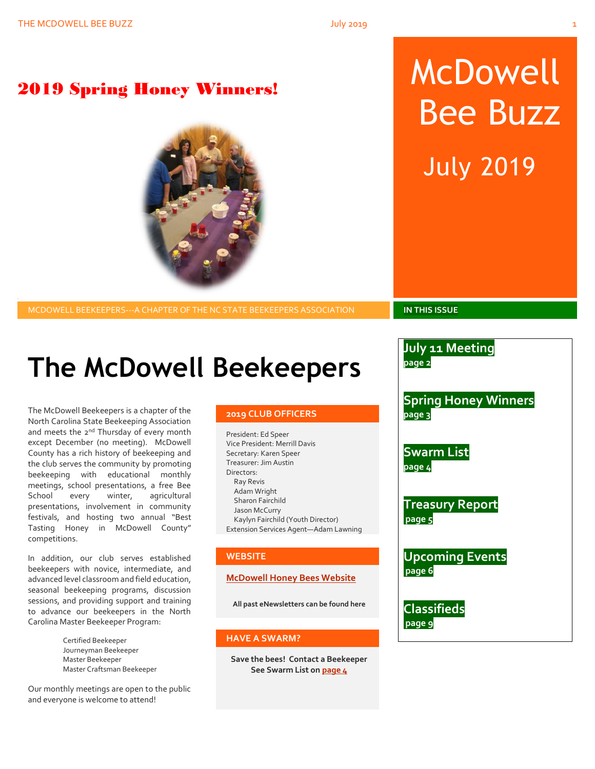# 2019 Spring Honey Winners! McDowell Bee Buzz July 2019

MCDOWELL BEEKEEPERS---A CHAPTER OF THE NC STATE BEEKEEPERS ASSOCIATION **IN THIS ISSUE**

# **The McDowell Beekeepers**

The McDowell Beekeepers is a chapter of the North Carolina State Beekeeping Association and meets the 2<sup>nd</sup> Thursday of every month except December (no meeting). McDowell County has a rich history of beekeeping and the club serves the community by promoting beekeeping with educational monthly meetings, school presentations, a free Bee School every winter, agricultural presentations, involvement in community festivals, and hosting two annual "Best Tasting Honey in McDowell County" competitions.

In addition, our club serves established beekeepers with novice, intermediate, and advanced level classroom and field education, seasonal beekeeping programs, discussion sessions, and providing support and training to advance our beekeepers in the North Carolina Master Beekeeper Program:

> Certified Beekeeper Journeyman Beekeeper Master Beekeeper Master Craftsman Beekeeper

Our monthly meetings are open to the public and everyone is welcome to attend!

#### **2019 CLUB OFFICERS**

President: Ed Speer Vice President: Merrill Davis Secretary: Karen Speer Treasurer: Jim Austin Directors: Ray Revis Adam Wright Sharon Fairchild Jason McCurry Kaylyn Fairchild (Youth Director) Extension Services Agent—Adam Lawning

### **WEBSITE**

#### **[McDowell Honey Bees Website](http://www.mcdowellhoneybees.org/)**

**All past eNewsletters can be found here**

#### **HAVE A SWARM?**

**Save the bees! Contact a Beekeeper See Swarm List o[n page 4](#page-7-0)**

**July 11 Meeting** 

**page 2**

**Spring Honey Winners page 3**

**Swarm List page 4**

**Treasury Report page 5**

**Upcoming Events page 6**

**Classifieds page 9**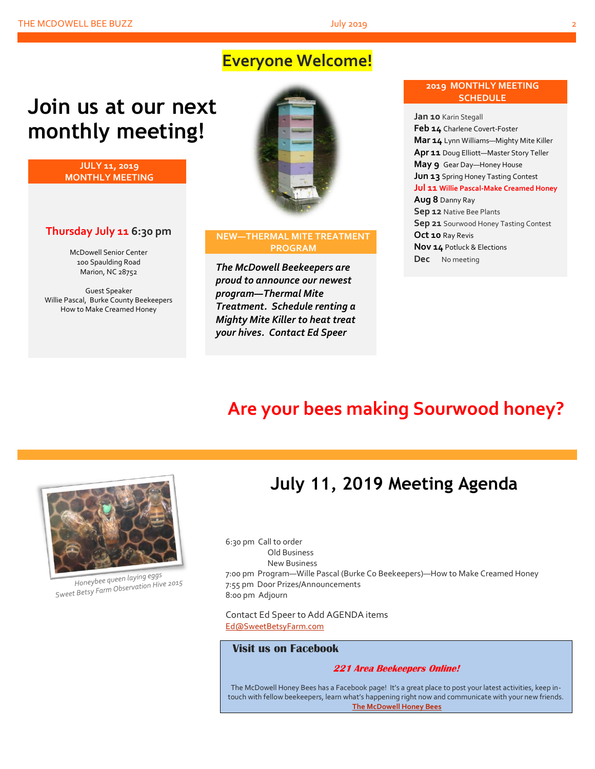## **Everyone Welcome!**

# **Join us at our next monthly meeting!**

**JULY 11, 2019 MONTHLY MEETING**

### **Thursday July 11 6:30 pm**

McDowell Senior Center 100 Spaulding Road Marion, NC 28752

Guest Speaker Willie Pascal, Burke County Beekeepers How to Make Creamed Honey



#### **NEW—THERMAL MITE TREATMENT PROGRAM**

*The McDowell Beekeepers are proud to announce our newest program—Thermal Mite Treatment. Schedule renting a Mighty Mite Killer to heat treat your hives. Contact Ed Speer*

#### **2019 MONTHLY MEETING SCHEDULE**

**Jan 10** Karin Stegall **Feb 14** Charlene Covert-Foster **Mar 14** Lynn Williams—Mighty Mite Killer **Apr 11** Doug Elliott—Master Story Teller **May 9** Gear Day—Honey House **Jun 13** Spring Honey Tasting Contest **Jul 11 Willie Pascal-Make Creamed Honey Aug 8** Danny Ray **Sep 12** Native Bee Plants **Sep 21** Sourwood Honey Tasting Contest **Oct 10** Ray Revis **Nov 14** Potluck & Elections **Dec** No meeting

## **Are your bees making Sourwood honey?**



Honeybee queen laying eggs Honeybee queen laying eyys<br>Sweet Betsy Farm Observation Hive 2015

## **July 11, 2019 Meeting Agenda**

6:30 pm Call to order Old Business New Business 7:00 pm Program—Wille Pascal (Burke Co Beekeepers)—How to Make Creamed Honey 7:55 pm Door Prizes/Announcements 8:00 pm Adjourn

Contact Ed Speer to Add AGENDA items [Ed@SweetBetsyFarm.com](mailto:Ed@SweetBetsyFarm.com)

#### **Visit us on Facebook**

#### **221 Area Beekeepers Online!**

The McDowell Honey Bees has a Facebook page! It's a great place to post your latest activities, keep intouch with fellow beekeepers, learn what's happening right now and communicate with your new friends. **[The McDowell Honey Bees](https://www.facebook.com/groups/MHBee/)**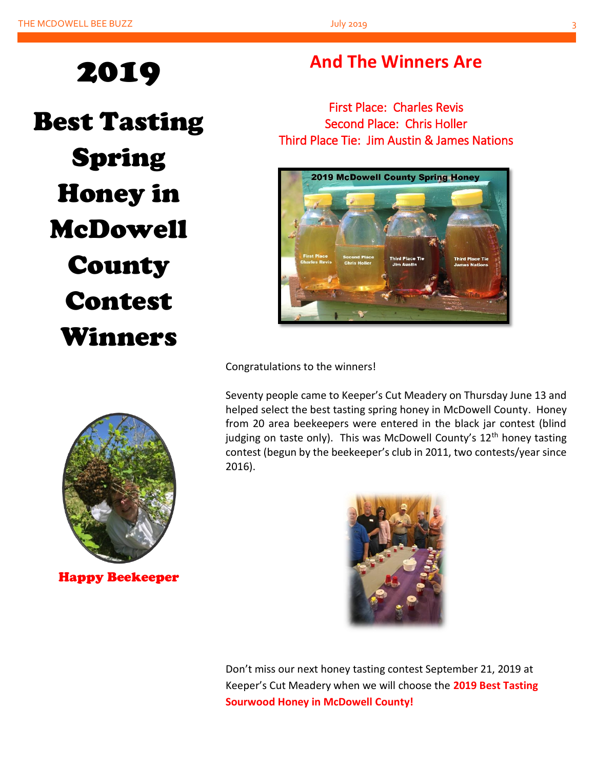# 2019

Best Tasting Spring Honey in McDowell County Contest Winners

## **And The Winners Are**

First Place: Charles Revis Second Place: Chris Holler Third Place Tie: Jim Austin & James Nations



Congratulations to the winners!

Seventy people came to Keeper's Cut Meadery on Thursday June 13 and helped select the best tasting spring honey in McDowell County. Honey from 20 area beekeepers were entered in the black jar contest (blind judging on taste only). This was McDowell County's  $12<sup>th</sup>$  honey tasting contest (begun by the beekeeper's club in 2011, two contests/year since 2016).



Happy Beekeeper



Don't miss our next honey tasting contest September 21, 2019 at Keeper's Cut Meadery when we will choose the **2019 Best Tasting Sourwood Honey in McDowell County!**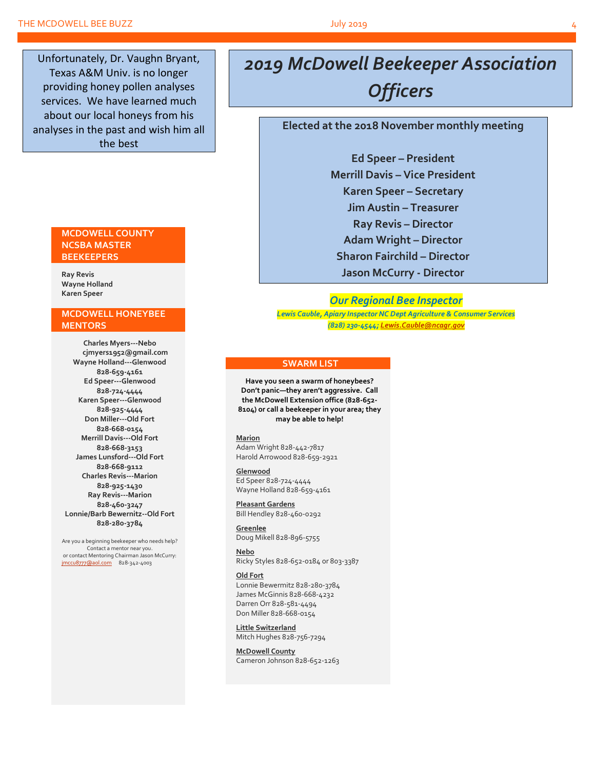Unfortunately, Dr. Vaughn Bryant, Texas A&M Univ. is no longer providing honey pollen analyses services. We have learned much about our local honeys from his analyses in the past and wish him all the best

#### **MCDOWELL COUNTY NCSBA MASTER BEEKEEPERS**

**Ray Revis Wayne Holland Karen Speer**

#### **MCDOWELL HONEYBEE MENTORS**

**Charles Myers---Nebo cjmyers1952@gmail.com Wayne Holland---Glenwood 828-659-4161 Ed Speer---Glenwood 828-724-4444 Karen Speer---Glenwood 828-925-4444 Don Miller---Old Fort 828-668-0154 Merrill Davis---Old Fort 828-668-3153 James Lunsford---Old Fort 828-668-9112 Charles Revis---Marion 828-925-1430 Ray Revis---Marion 828-460-3247 Lonnie/Barb Bewernitz--Old Fort 828-280-3784**

Are you a beginning beekeeper who needs help? Contact a mentor near you. or contact Mentoring Chairman Jason McCurry: [jmccu8777@aol.com](mailto:jmccu8777@aol.com)828-342-4003

# *2019 McDowell Beekeeper Association*

*Officers*

**Elected at the 2018 November monthly meeting**

**Ed Speer – President Merrill Davis – Vice President Karen Speer – Secretary Jim Austin – Treasurer Ray Revis – Director Adam Wright – Director Sharon Fairchild – Director Jason McCurry - Director**

#### *Our Regional Bee Inspector*

*Lewis Cauble, Apiary Inspector NC Dept Agriculture & Consumer Services (828) 230-4544[; Lewis.Cauble@ncagr.gov](file:///L:/Beekeeping/Beekeeping%202019/McDowell%20Honeybees%202019/MHB%20Newsletters%202019/Apr%202019/Lewis.Cauble@ncagr.gov)*

#### **SWARM LIST**

**Have you seen a swarm of honeybees? Don't panic—they aren't aggressive. Call the McDowell Extension office (828-652- 8104) or call a beekeeper in your area; they may be able to help!**

#### **Marion**

Adam Wright 828-442-7817 Harold Arrowood 828-659-2921

#### **Glenwood**

Ed Speer 828-724-4444 Wayne Holland 828-659-4161

**Pleasant Gardens** Bill Hendley 828-460-0292

**Greenlee** Doug Mikell 828-896-5755

**Nebo** Ricky Styles 828-652-0184 or 803-3387

#### **Old Fort**

Lonnie Bewermitz 828-280-3784 James McGinnis 828-668-4232 Darren Orr 828-581-4494 Don Miller 828-668-0154

**Little Switzerland** Mitch Hughes 828-756-7294

**McDowell County** Cameron Johnson 828-652-1263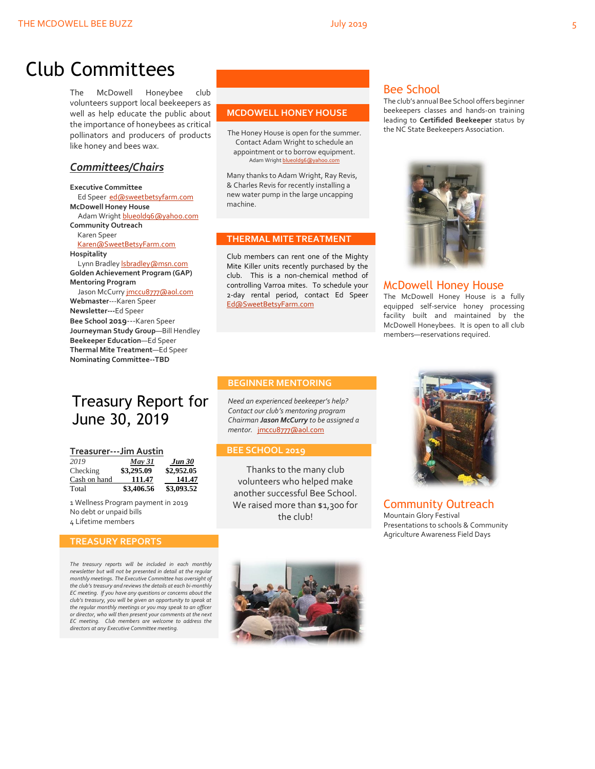## Club Committees

The McDowell Honeybee club volunteers support local beekeepers as well as help educate the public about the importance of honeybees as critical pollinators and producers of products like honey and bees wax.

### *Committees/Chairs*

**Executive Committee** Ed Speer [ed@sweetbetsyfarm.com](mailto:ed@sweetbetsyfarm.com) **McDowell Honey House** Adam Wright [blueold96@yahoo.com](mailto:blueold96@yahoo.com) **Community Outreach** Karen Speer [Karen@SweetBetsyFarm.com](mailto:Karen@SweetBetsyFarm.com) **Hospitality** Lynn Bradley *sbradley* @msn.com **Golden Achievement Program (GAP) Mentoring Program** Jason McCurry imccu8777@aol.com **Webmaster**---Karen Speer **Newsletter---**Ed Speer **Bee School 2019**---Karen Speer **Journeyman Study Group**—Bill Hendley **Beekeeper Education**—Ed Speer **Thermal Mite Treatment**—Ed Speer **Nominating Committee--TBD**

## Treasury Report for June 30, 2019

#### **Treasurer---Jim Austin**

| 2019         | May 31     | <b>Jun 30</b> |
|--------------|------------|---------------|
| Checking     | \$3,295.09 | \$2,952.05    |
| Cash on hand | 111.47     | 141.47        |
| Total        | \$3,406.56 | \$3,093.52    |

1 Wellness Program payment in 2019 No debt or unpaid bills 4 Lifetime members

#### **TREASURY REPORTS**

*The treasury reports will be included in each monthly newsletter but will not be presented in detail at the regular monthly meetings. The Executive Committee has oversight of the club's treasury and reviews the details at each bi-monthly EC meeting. If you have any questions or concerns about the club's treasury, you will be given an opportunity to speak at the regular monthly meetings or you may speak to an officer or director, who will then present your comments at the next EC meeting. Club members are welcome to address the directors at any Executive Committee meeting.*

#### **MCDOWELL HONEY HOUSE**

The Honey House is open for the summer. Contact Adam Wright to schedule an appointment or to borrow equipment. Adam Wrigh[t blueold96@yahoo.com](mailto:blueold96@yahoo.com)

Many thanks to Adam Wright, Ray Revis, & Charles Revis for recently installing a new water pump in the large uncapping machine.

#### **THERMAL MITE TREATMENT**

Club members can rent one of the Mighty Mite Killer units recently purchased by the club. This is a non-chemical method of controlling Varroa mites. To schedule your 2-day rental period, contact Ed Speer [Ed@SweetBetsyFarm.com](mailto:Ed@SweetBetsyFarm.com)

### Bee School

The club's annual Bee School offers beginner beekeepers classes and hands-on training leading to **Certifided Beekeeper** status by the NC State Beekeepers Association.



#### McDowell Honey House

The McDowell Honey House is a fully equipped self-service honey processing facility built and maintained by the McDowell Honeybees. It is open to all club members—reservations required.

#### **BEGINNER MENTORING**

*Need an experienced beekeeper's help? Contact our club's mentoring program Chairman Jason McCurry to be assigned a mentor.* [jmccu8777@aol.com](mailto:jmccu8777@aol.com)

#### **BEE SCHOOL 2019**

Thanks to the many club volunteers who helped make another successful Bee School. We raised more than \$1,300 for the club!



Community Outreach Mountain Glory Festival Presentations to schools & Community Agriculture Awareness Field Days

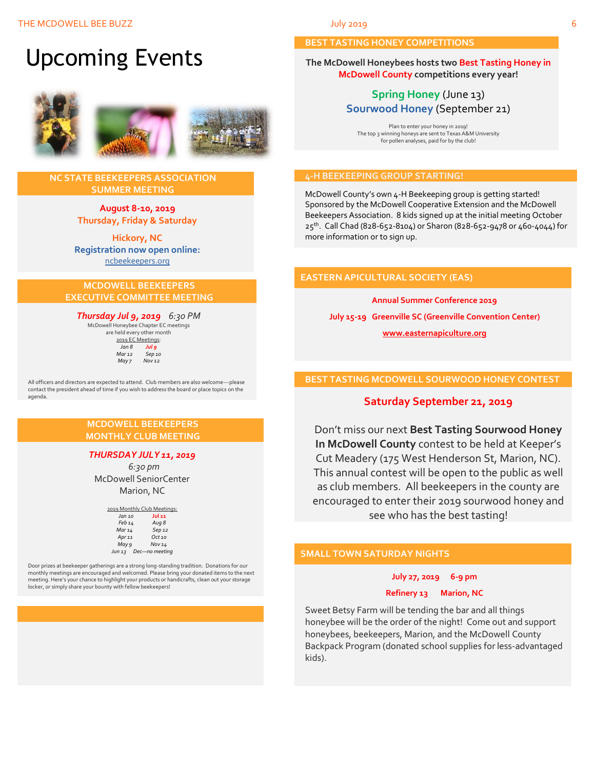# Upcoming Events



#### **NC STATE BEEKEEPERS ASSOCIATION SUMMER MEETING**

**August 8-10, 2019 Thursday, Friday & Saturday**

**Hickory, NC Registration now open online:** [ncbeekeepers.org](http://www.ncbeekeepers.org/)

#### **MCDOWELL BEEKEEPERS EXECUTIVE COMMITTEE MEETING**

*Thursday Jul 9, 2019 6:30 PM* McDowell Honeybee Chapter EC meetings

are held every other month 2019 EC Meetings: *Jan 8 Jul 9 Mar 12 Sep 10 May 7* 

All officers and directors are expected to attend. Club members are also welcome---please contact the president ahead of time if you wish to address the board or place topics on the agenda.

#### **MCDOWELL BEEKEEPERS MONTHLY CLUB MEETING**

#### *THURSDAY JULY 11, 2019*

 *6:30 pm* McDowell SeniorCenter Marion, NC

| 2019 Monthly Club Meetings: |                     |  |
|-----------------------------|---------------------|--|
| Jan 10                      | Jul 11              |  |
| Feb 14                      | Aug 8               |  |
| Mar 14                      | Sep 12              |  |
| Apr <sub>11</sub>           | $Oct$ <sub>10</sub> |  |
| May 9                       | Nov 14              |  |
| Jun 13                      | Dec-no meeting      |  |

Door prizes at beekeeper gatherings are a strong long-standing tradition. Donations for our monthly meetings are encouraged and welcomed. Please bring your donated items to the next meeting. Here's your chance to highlight your products or handicrafts, clean out your storage locker, or simply share your bounty with fellow beekeepers!



#### **BEST TASTING HONEY COMPETITIONS**

**The McDowell Honeybees hosts two Best Tasting Honey in McDowell County competitions every year!**

### **Spring Honey** (June 13) **Sourwood Honey** (September 21)

Plan to enter your honey in 2019! The top 3 winning honeys are sent to Texas A&M University for pollen analyses, paid for by the club!

#### **4-H BEEKEEPING GROUP STARTING!**

McDowell County's own 4-H Beekeeping group is getting started! Sponsored by the McDowell Cooperative Extension and the McDowell Beekeepers Association. 8 kids signed up at the initial meeting October 25<sup>th</sup>. Call Chad (828-652-8104) or Sharon (828-652-9478 or 460-4044) for more information or to sign up.

#### **EASTERN APICULTURAL SOCIETY (EAS)**

**Annual Summer Conference 2019**

**July 15-19 Greenville SC (Greenville Convention Center)**

**[www.easternapiculture.org](http://www.easternapiculture.org/)**

#### **BEST TASTING MCDOWELL SOURWOOD HONEY CONTEST**

### **Saturday September 21, 2019**

Don't miss our next **Best Tasting Sourwood Honey In McDowell County** contest to be held at Keeper's Cut Meadery (175 West Henderson St, Marion, NC). This annual contest will be open to the public as well as club members. All beekeepers in the county are encouraged to enter their 2019 sourwood honey and see who has the best tasting!

#### **SMALL TOWN SATURDAY NIGHTS**

**July 27, 2019 6-9 pm**

#### **Refinery 13 Marion, NC**

Sweet Betsy Farm will be tending the bar and all things honeybee will be the order of the night! Come out and support honeybees, beekeepers, Marion, and the McDowell County Backpack Program (donated school supplies for less-advantaged kids).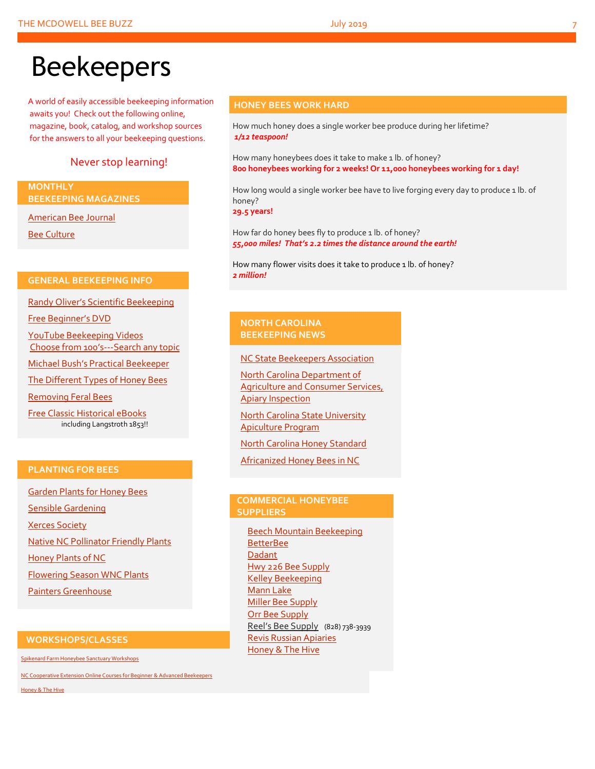# Beekeepers

A world of easily accessible beekeeping information awaits you! Check out the following online, magazine, book, catalog, and workshop sources for the answers to all your beekeeping questions.

### Never stop learning!

**MONTHLY BEEKEEPING MAGAZINES**

[American Bee Journal](http://www.americanbeejournal.com/)

[Bee Culture](http://www.beeculture.com/)

#### **GENERAL BEEKEEPING INFO**

Randy Oliver's [Scientific Beekeeping](http://scientificbeekeeping.com/)

[Free Beginner's DVD](http://www.worldofbeekeeping.com/free-kit/)

[YouTube Beekeeping Videos](https://www.youtube.com/results?search_query=beekeeping) Choose from 100's[---Search any topic](https://www.youtube.com/results?search_query=beekeeping)

Micha[el Bush's Practical Beekeeper](http://www.bushfarms.com/bees.htm)

[The Different Types of Honey Bees](https://www.cals.ncsu.edu/entomology/apiculture/pdfs/1.12%20copy.pdf)

[Removing Feral Bees](http://www.ces.ncsu.edu/depts/ent/notes/Urban/bees-faq.htm)

[Free Classic Historical eBooks](http://www.apiculture-populaire.com/) including Langstroth 1853!!

#### **PLANTING FOR BEES**

[Garden Plants for Honey Bees](http://www.wicwas.com/Garden_Plants_for_Honey_Bees) [Sensible Gardening](http://sensiblegardening.com/busy-busy-bees/) [Xerces Society](http://www.xerces.org/pollinator-conservation/gardens/) [Native NC Pollinator Friendly Plants](http://wncbees.org/wp-content/uploads/2014/07/Recommended-Polliinator-Friendly-Plant-List-for-Greater-Asheville-NC-with-Nurseries.pdf) [Honey Plants of NC](http://wncbees.org/wp-content/uploads/2014/08/Honey-Plants-of-North-Carolina-NCSU-1.04.pdf) [Flowering Season WNC Plants](http://wncbees.org/wp-content/uploads/2014/07/Typical-Flowering-Seasons-for-Western-North-Carolina-Honey-and-Pollen-Sources-Edd-Buchanan-John-Mundy-Chris-Mathis.pdf) [Painters Greenhouse](http://www.paintersgreenhouse.com/)

#### **WORKSHOPS/CLASSES**

[Spikenard Farm Honeybee Sanctuary Workshops](http://spikenardfarm.org/)

[NC Cooperative Extension Online Courses for Beginner &](https://entomology.ces.ncsu.edu/apiculture/bees/) Advanced Beekeepers

[Honey & The Hive](https://www.honeyandthehivenc.com/)

#### **HONEY BEES WORK HARD**

How much honey does a single worker bee produce during her lifetime? *1/12 teaspoon!*

How many honeybees does it take to make 1 lb. of honey? **800 honeybees working for 2 weeks! Or 11,000 honeybees working for 1 day!**

How long would a single worker bee have to live forging every day to produce 1 lb. of honey?

**29.5 years!**

How far do honey bees fly to produce 1 lb. of honey? *55,000 miles! That's 2.2 times the distance around the earth!*

How many flower visits does it take to produce 1 lb. of honey? *2 million!*

#### **NORTH CAROLINA BEEKEEPING NEWS**

[NC State Beekeepers Association](http://www.ncbeekeepers.org/)

[North Carolina Department of](http://www.ncbeekeepers.org/resources/apiary-inspection-program)  [Agriculture and Consumer Services,](http://www.ncbeekeepers.org/resources/apiary-inspection-program)  [Apiary Inspection](http://www.ncbeekeepers.org/resources/apiary-inspection-program)

[North Carolina State University](http://entomology.ncsu.edu/apiculture)  [Apiculture Program](http://entomology.ncsu.edu/apiculture)

[North Carolina Honey Standard](http://www.ncbeekeepers.org/honey/nc-honey-standard)

[Africanized Honey Bees in NC](http://wncbees.org/wp-content/uploads/2014/08/AHBs-Some-questions-and-answers-NCSU-1.03.pdf)

#### **COMMERCIAL HONEYBEE SUPPLIERS**

[Beech Mountain Beekeeping](http://beechmountainbeesupply.com/store/cart.php) **[BetterBee](http://www.betterbee.com/)** [Dadant](https://www.dadant.com/) [Hwy 226 Bee Supply](http://hwy226beesupplies.com/) [Kelley Beekeeping](https://www.kelleybees.com/) [Mann Lake](http://www.mannlakeltd.com/) [Miller Bee Supply](http://millerbeesupply.com/catalog/) [Orr Bee Supply](http://www.orrbeesupply.com/) Reel's Bee Supply (828) 738-3939 [Revis Russian Apiaries](http://revisrussians.com/) [Honey & The Hive](https://www.honeyandthehivenc.com/)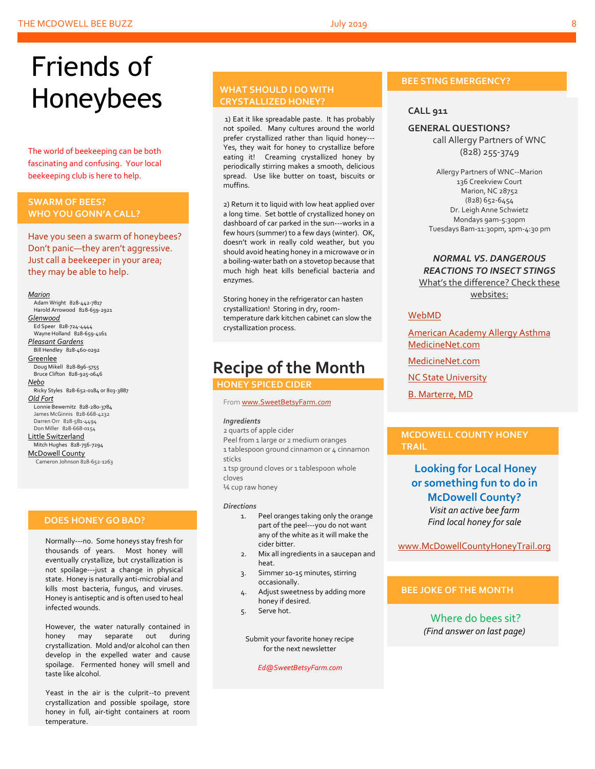# Friends of Honeybees

The world of beekeeping can be both fascinating and confusing. Your local beekeeping club is here to help.

#### <span id="page-7-0"></span>**SWARM OF BEES? WHO YOU GONN'A CALL?**

Have you seen a swarm of honeybees? Don't panic—they aren't aggressive. Just call a beekeeper in your area; they may be able to help.

#### *Marion*

 Adam Wright 828-442-7817 Harold Arrowood 828-659-2921 *Glenwood* Ed Speer 828-724-4444 Wayne Holland 828-659-4161 *Pleasant Gardens* Bill Hendley 828-460-0292 **Greenlee**  Doug Mikell 828-896-5755 Bruce Clifton 828-925-0646 *Nebo* Ricky Styles 828-652-0184 or 803-3887 *Old Fort* Lonnie Bewernitz 828-280-3784 James McGinnis 828-668-4232 Darren Orr 828-581-4494 Don Miller 828-668-0154 Little Switzerland Mitch Hughes 828-756-7294 McDowell County Cameron Johnson 828-652-1263

#### **DOES HONEY GO BAD?**

Normally---no. Some honeys stay fresh for thousands of years. Most honey will eventually crystallize, but crystallization is not spoilage---just a change in physical state. Honey is naturally anti-microbial and kills most bacteria, fungus, and viruses. Honey is antiseptic and is often used to heal infected wounds.

However, the water naturally contained in honey may separate out during crystallization. Mold and/or alcohol can then develop in the expelled water and cause spoilage. Fermented honey will smell and taste like alcohol.

Yeast in the air is the culprit--to prevent crystallization and possible spoilage, store honey in full, air-tight containers at room temperature.

### **WHAT SHOULD I DO WITH CRYSTALLIZED HONEY?**

1) Eat it like spreadable paste. It has probably not spoiled. Many cultures around the world prefer crystallized rather than liquid honey--- Yes, they wait for honey to crystallize before eating it! Creaming crystallized honey by periodically stirring makes a smooth, delicious spread. Use like butter on toast, biscuits or muffins.

2) Return it to liquid with low heat applied over a long time. Set bottle of crystallized honey on dashboard of car parked in the sun---works in a few hours (summer) to a few days (winter). OK, doesn't work in really cold weather, but you should avoid heating honey in a microwave or in a boiling-water bath on a stovetop because that much high heat kills beneficial bacteria and enzymes.

Storing honey in the refrigerator can hasten crystallization! Storing in dry, roomtemperature dark kitchen cabinet can slow the crystallization process.

## **Recipe of the Month**

 **HONEY SPICED CIDER**

#### Fro[m www.SweetBetsyFarm.](http://www.sweetbetsyfarm.com/)*com*

#### *Ingredients*

2 quarts of apple cider Peel from 1 large or 2 medium oranges

1 tablespoon ground cinnamon or 4 cinnamon sticks

1 tsp ground cloves or 1 tablespoon whole cloves

¼ cup raw honey

#### *Directions*

- 1. Peel oranges taking only the orange part of the peel---you do not want any of the white as it will make the cider bitter.
- 2. Mix all ingredients in a saucepan and heat.
- 3. Simmer 10-15 minutes, stirring occasionally.
- 4. Adjust sweetness by adding more honey if desired.
- 5. Serve hot.

Submit your favorite honey recipe for the next newsletter

*Ed@SweetBetsyFarm.com*

### **BEE STING EMERGENCY?**

#### **CALL 911**

#### **GENERAL QUESTIONS?**

call Allergy Partners of WNC (828) 255-3749

Allergy Partners of WNC--Marion 136 Creekview Court Marion, NC 28752 (828) 652-6454 Dr. Leigh Anne Schwietz Mondays 9am-5:30pm Tuesdays 8am-11:30pm, 1pm-4:30 pm

#### *NORMAL VS. DANGEROUS REACTIONS TO INSECT STINGS* What's the difference? Check these websites:

#### [WebMD](http://www.webmd.com/allergies/guide/insect-stings)

[American Academy Allergy Asthma](http://www.aaaai.org/conditions-and-treatments/library/allergy-library/stinging-insect-allergy.aspx) [MedicineNet.com](http://www.medicinenet.com/insect_sting_allergies/article.htm)

[MedicineNet.com](http://www.medicinenet.com/insect_sting_allergies/article.htm)

[NC State University](http://wncbees.org/wp-content/uploads/2014/08/Allergy-to-Insect-Stings-NCSU-1.09.pdf)

[B. Marterre, MD](http://wncbees.org/wp-content/uploads/2014/08/Bee-Stings-Immunology-Allergy-and-Treatment-Marterre.pdf)

#### **MCDOWELL COUNTY HONEY TRAIL**

## **Looking for Local Honey or something fun to do in McDowell County?**

*Visit an active bee farm Find local honey for sale*

[www.McDowellCountyHoneyTrail.org](http://www.mcdowellcountyhoneytrail.org/)

#### **BEE JOKE OF THE MONTH**

Where do bees sit? *(Find answer on last page)*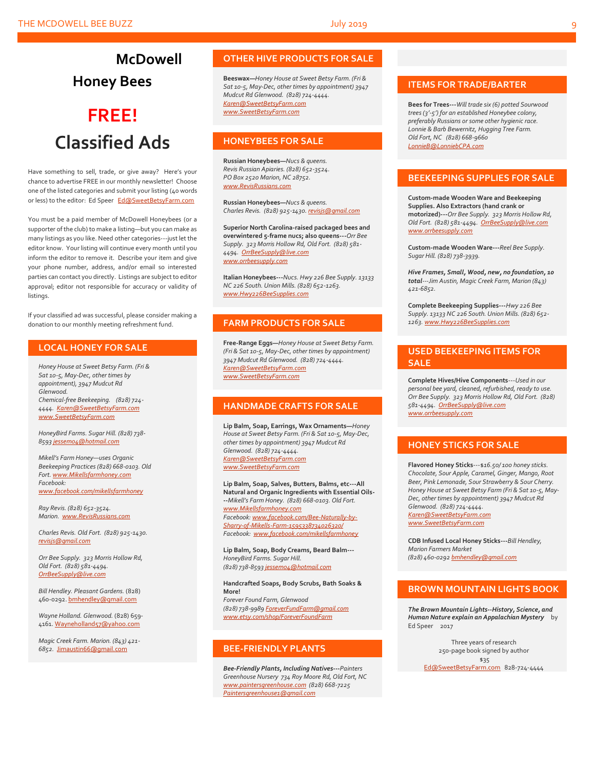## **McDowell Honey Bees**

# **FREE! Classified Ads**

Have something to sell, trade, or give away? Here's your chance to advertise FREE in our monthly newsletter! Choose one of the listed categories and submit your listing (40 words or less) to the editor: Ed Speer [Ed@SweetBetsyFarm.com](mailto:Ed@SweetBetsyFarm.com)

You must be a paid member of McDowell Honeybees (or a supporter of the club) to make a listing—but you can make as many listings as you like. Need other categories---just let the editor know. Your listing will continue every month until you inform the editor to remove it. Describe your item and give your phone number, address, and/or email so interested parties can contact you directly. Listings are subject to editor approval; editor not responsible for accuracy or validity of listings.

If your classified ad was successful, please consider making a donation to our monthly meeting refreshment fund.

#### **LOCAL HONEY FOR SALE**

*Honey House at Sweet Betsy Farm. (Fri & Sat 10-5, May-Dec, other times by appointment), 3947 Mudcut Rd Glenwood. Chemical-free Beekeeping. (828) 724- 4444. [Karen@SweetBetsyFarm.com](mailto:Karen@SweetBetsyFarm.com) www.SweetBetsyFarm.com*

*HoneyBird Farms. Sugar Hill. (828) 738- 859[3 jessem04@hotmail.com](mailto:jessem04@hotmail.com)*

*Mikell's Farm Honey—uses Organic Beekeeping Practices (828) 668-0103. Old Fort[. www.Mikellsfarmhoney.com](http://www.mikellsfarmhoney.com/) Facebook: [www.facebook.com/mikellsfarmhoney](http://www.facebook.com/mikellsfarmhoney)*

*Ray Revis. (828) 652-3524. Marion. [www.RevisRussians.com](http://www.revisrussians.com/)*

*Charles Revis. Old Fort. (828) 925-1430. [revisjs@gmail.com](mailto:revisjs@gmail.com)*

*Orr Bee Supply. 323 Morris Hollow Rd, Old Fort. (828) 581-4494. [OrrBeeSupply@live.com](mailto:OrrBeeSupply@live.com)*

*Bill Hendley. Pleasant Gardens.* (828) 460-0292[. bmhendley@gmail.com](mailto:bmhendley@gmail.com)

*Wayne Holland. Glenwood.* (828) 659- 4161[. Wayneholland57@yahoo.com](mailto:Wayneholland57@yahoo.com)

*Magic Creek Farm. Marion. (843) 421- 6852.* [Jimaustin66@gmail.com](mailto:Jimaustin66@gmail.com)

#### **OTHER HIVE PRODUCTS FOR SALE**

**Beeswax—***Honey House at Sweet Betsy Farm. (Fri & Sat 10-5, May-Dec, other times by appointment) 3947 Mudcut Rd Glenwood. (828) 724-4444. [Karen@SweetBetsyFarm.com](mailto:Karen@SweetBetsyFarm.com) www.SweetBetsyFarm.com*

#### **HONEYBEES FOR SALE**

**Russian Honeybees—***Nucs & queens. Revis Russian Apiaries. (828) 652-3524. PO Box 2520 Marion, NC 28752. [www.RevisRussians.com](http://www.revisrussians.com/)*

**Russian Honeybees—***Nucs & queens. Charles Revis. (828) 925-1430. [revisjs@gmail.com](mailto:revisjs@gmail.com)*

**Superior North Carolina-raised packaged bees and overwintered 5-frame nucs; also queens---***Orr Bee Supply. 323 Morris Hollow Rd, Old Fort. (828) 581- 4494. [OrrBeeSupply@live.com](mailto:OrrBeeSupply@live.com) www.orrbeesupply.com*

**Italian Honeybees---***Nucs. Hwy 226 Bee Supply. 13133 NC 226 South. Union Mills. (828) 652-1263. [www.Hwy226BeeSupplies.com](http://www.hwy226beesupplies.com/)*

#### **FARM PRODUCTS FOR SALE**

**Free-Range Eggs—***Honey House at Sweet Betsy Farm. (Fri & Sat 10-5, May-Dec, other times by appointment) 3947 Mudcut Rd Glenwood. (828) 724-4444. [Karen@SweetBetsyFarm.com](mailto:Karen@SweetBetsyFarm.com) www.SweetBetsyFarm.com*

#### **HANDMADE CRAFTS FOR SALE**

**Lip Balm, Soap, Earrings, Wax Ornaments—***Honey House at Sweet Betsy Farm. (Fri & Sat 10-5, May-Dec, other times by appointment) 3947 Mudcut Rd Glenwood. (828) 724-4444. [Karen@SweetBetsyFarm.com](mailto:Karen@SweetBetsyFarm.com) [www.SweetBetsyFarm.com](http://www.sweetbetsyfarm.com/)*

**Lip Balm, Soap, Salves, Butters, Balms, etc---All Natural and Organic Ingredients with Essential Oils- --***Mikell's Farm Honey. (828) 668-0103. Old Fort. [www.Mikellsfarmhoney.com](http://www.mikellsfarmhoney.com/) Facebook[: www.facebook.com/Bee-Naturally-by-](http://www.facebook.com/Bee-Naturally-by-Sharry-of-Mikells-Farm-1595338734026320/)[Sharry-of-Mikells-Farm-1595338734026320/](http://www.facebook.com/Bee-Naturally-by-Sharry-of-Mikells-Farm-1595338734026320/) Facebook: [www.facebook.com/mikellsfarmhoney](http://www.facebook.com/mikellsfarmhoney)*

**Lip Balm, Soap, Body Creams, Beard Balm---** *HoneyBird Farms. Sugar Hill. (828) 738-859[3 jessem04@hotmail.com](mailto:jessem04@hotmail.com)*

**Handcrafted Soaps, Body Scrubs, Bath Soaks & More!** *Forever Found Farm, Glenwood (828) 738-9989 [ForeverFundFarm@gmail.com](mailto:ForeverFundFarm@gmail.com) [www.etsy.com/shop/ForeverFoundFarm](http://www.etsy.com/shop/ForeverFoundFarm)*

#### **BEE-FRIENDLY PLANTS**

*Bee-Friendly Plants, Including Natives---Painters Greenhouse Nursery 734 Roy Moore Rd, Old Fort, NC [www.paintersgreenhouse.com](http://www.paintersgreenhouse.com/) (828) 668-7225 [Paintersgreenhouse1@gmail.com](mailto:Paintersgreenhouse1@gmail.com)*

#### **ITEMS FOR TRADE/BARTER**

**Bees for Trees---***Will trade six (6) potted Sourwood trees (3'-5') for an established Honeybee colony, preferably Russians or some other hygienic race. Lonnie & Barb Bewernitz, Hugging Tree Farm. Old Fort, NC (828) 668-9660 [LonnieB@LonniebCPA.com](mailto:LonnieB@LonniebCPA.com)*

#### **BEEKEEPING SUPPLIES FOR SALE**

**Custom-made Wooden Ware and Beekeeping Supplies. Also Extractors (hand crank or motorized)---***Orr Bee Supply. 323 Morris Hollow Rd, Old Fort. (828) 581-4494[. OrrBeeSupply@live.com](mailto:OrrBeeSupply@live.com) [www.orrbeesupply.com](file:///K:/McDowell%20Honeybees/2016/2016%20Newsletters/May%202016%20Newsletter/www.orrbeesupply.com)*

**Custom-made Wooden Ware---***Reel Bee Supply. Sugar Hill. (828) 738-3939.*

*Hive Frames, Small, Wood, new, no foundation, 10 total---Jim Austin, Magic Creek Farm, Marion (843) 421-6852.*

**Complete Beekeeping Supplies---***Hwy 226 Bee Supply. 13133 NC 226 South. Union Mills. (828) 652- 1263[. www.Hwy226BeeSupplies.com](http://www.hwy226beesupplies.com/)*

#### **USED BEEKEEPING ITEMS FOR SALE**

**Complete Hives/Hive Components**---*Used in our personal bee yard, cleaned, refurbished, ready to use. Orr Bee Supply. 323 Morris Hollow Rd, Old Fort. (828) 581-4494. [OrrBeeSupply@live.com](mailto:OrrBeeSupply@live.com) [www.orrbeesupply.com](file:///K:/McDowell%20Honeybees/2016/2016%20Newsletters/May%202016%20Newsletter/www.orrbeesupply.com)*

#### **HONEY STICKS FOR SALE**

**Flavored Honey Sticks**---\$*16.50/ 100 honey sticks. Chocolate, Sour Apple, Caramel, Ginger, Mango, Root Beer, Pink Lemonade, Sour Strawberry & Sour Cherry. Honey House at Sweet Betsy Farm (Fri & Sat 10-5, May-Dec, other times by appointment) 3947 Mudcut Rd Glenwood. (828) 724-4444. [Karen@SweetBetsyFarm.com](mailto:Karen@SweetBetsyFarm.com) www.SweetBetsyFarm.com*

**CDB Infused Local Honey Sticks---***Bill Hendley, Marion Farmers Market (828) 460-029[2 bmhendley@gmail.com](mailto:bmhendley@gmail.com)*

#### **BROWN MOUNTAIN LIGHTS BOOK**

*The Brown Mountain Lights--History, Science, and Human Nature explain an Appalachian Mystery* by Ed Speer 2017

Three years of research 250-page book signed by author \$35

[Ed@SweetBetsyFarm.com](mailto:Ed@SweetBetsyFarm.com) 828-724-4444